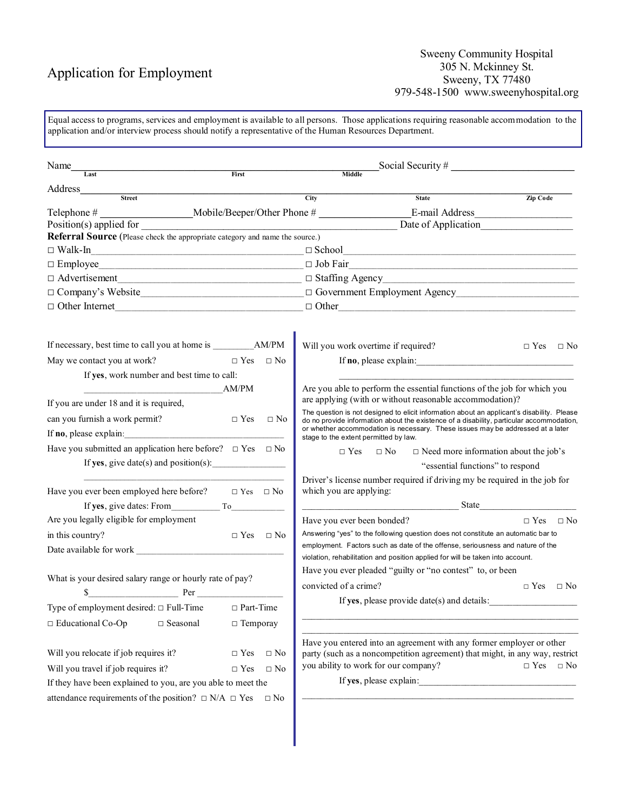# Application for Employment

#### Sweeny Community Hospital 305 N. Mckinney St. Sweeny, TX 77480 979-548-1500 www.sweenyhospital.org

Equal access to programs, services and employment is available to all persons. Those applications requiring reasonable accommodation to the application and/or interview process should notify a representative of the Human Resources Department.

| Name                                                                                                                 |                           |      |                                             |                                                                                                                                                                                        |                      |           |
|----------------------------------------------------------------------------------------------------------------------|---------------------------|------|---------------------------------------------|----------------------------------------------------------------------------------------------------------------------------------------------------------------------------------------|----------------------|-----------|
| Last                                                                                                                 | First                     |      | Middle                                      |                                                                                                                                                                                        |                      |           |
| Address                                                                                                              |                           |      |                                             |                                                                                                                                                                                        |                      |           |
| <b>Street</b>                                                                                                        |                           | City |                                             | <b>State</b>                                                                                                                                                                           | Zip Code             |           |
| Position(s) applied for                                                                                              |                           |      |                                             | E-mail Address                                                                                                                                                                         |                      |           |
| Referral Source (Please check the appropriate category and name the source.)                                         |                           |      |                                             | Date of Application                                                                                                                                                                    |                      |           |
| $\Box$ Walk-In<br>the control of the control of the control of the control of the control of the control of          |                           |      |                                             | $\Box$ School                                                                                                                                                                          |                      |           |
|                                                                                                                      |                           |      |                                             |                                                                                                                                                                                        |                      |           |
| $\Box$ Advertisement<br>$\Box$ Advertisement<br>$\Box$                                                               |                           |      |                                             |                                                                                                                                                                                        |                      |           |
|                                                                                                                      |                           |      |                                             |                                                                                                                                                                                        |                      |           |
| $\Box$ Other Internet                                                                                                |                           |      |                                             |                                                                                                                                                                                        |                      |           |
|                                                                                                                      |                           |      |                                             |                                                                                                                                                                                        |                      |           |
|                                                                                                                      |                           |      | Will you work overtime if required?         |                                                                                                                                                                                        | $\Box$ Yes $\Box$ No |           |
| May we contact you at work?                                                                                          | $\Box$ Yes $\Box$ No      |      |                                             |                                                                                                                                                                                        |                      |           |
| If yes, work number and best time to call:                                                                           |                           |      |                                             |                                                                                                                                                                                        |                      |           |
| <u> 1990 - Johann John Harry Harry Harry Harry Harry Harry Harry Harry Harry Harry Harry Harry Harry Harry Harry</u> | AM/PM                     |      |                                             | Are you able to perform the essential functions of the job for which you                                                                                                               |                      |           |
| If you are under 18 and it is required,                                                                              |                           |      |                                             | are applying (with or without reasonable accommodation)?                                                                                                                               |                      |           |
| can you furnish a work permit?                                                                                       | $\Box$ Yes<br>$\Box$ No   |      |                                             | The question is not designed to elicit information about an applicant's disability. Please<br>do no provide information about the existence of a disability, particular accommodation, |                      |           |
| If <b>no</b> , please explain:                                                                                       |                           |      | stage to the extent permitted by law.       | or whether accommodation is necessary. These issues may be addressed at a later                                                                                                        |                      |           |
| Have you submitted an application here before? $\Box$ Yes $\Box$ No                                                  |                           |      | $\Box$ Yes<br>$\Box$ No                     | $\Box$ Need more information about the job's                                                                                                                                           |                      |           |
| If yes, give date(s) and position(s): $\qquad \qquad$                                                                |                           |      |                                             | "essential functions" to respond                                                                                                                                                       |                      |           |
|                                                                                                                      |                           |      |                                             | Driver's license number required if driving my be required in the job for                                                                                                              |                      |           |
| Have you ever been employed here before? $\Box$ Yes $\Box$ No                                                        |                           |      | which you are applying:                     |                                                                                                                                                                                        |                      |           |
|                                                                                                                      |                           |      |                                             |                                                                                                                                                                                        |                      |           |
| Are you legally eligible for employment                                                                              |                           |      | Have you ever been bonded?                  |                                                                                                                                                                                        | $\Box$ Yes           | $\Box$ No |
| in this country?                                                                                                     | $\Box$ Yes $\Box$ No      |      |                                             | Answering "yes" to the following question does not constitute an automatic bar to                                                                                                      |                      |           |
|                                                                                                                      |                           |      |                                             | employment. Factors such as date of the offense, seriousness and nature of the                                                                                                         |                      |           |
|                                                                                                                      |                           |      |                                             | violation, rehabilitation and position applied for will be taken into account.<br>Have you ever pleaded "guilty or "no contest" to, or been                                            |                      |           |
| What is your desired salary range or hourly rate of pay?                                                             |                           |      | convicted of a crime?                       |                                                                                                                                                                                        |                      |           |
| Per Per                                                                                                              |                           |      |                                             |                                                                                                                                                                                        | $\Box$ Yes           | $\Box$ No |
| Type of employment desired: □ Full-Time                                                                              | $\hfill\Box$<br>Part-Time |      | If yes, please provide date(s) and details: |                                                                                                                                                                                        |                      |           |
| □ Educational Co-Op<br>$\Box$ Seasonal                                                                               | $\Box$ Temporay           |      |                                             |                                                                                                                                                                                        |                      |           |
|                                                                                                                      |                           |      |                                             | Have you entered into an agreement with any former employer or other                                                                                                                   |                      |           |
| Will you relocate if job requires it?                                                                                | $\Box$ Yes<br>$\Box$ No   |      |                                             | party (such as a noncompetition agreement) that might, in any way, restrict                                                                                                            |                      |           |
| Will you travel if job requires it?                                                                                  | $\Box$ Yes<br>$\Box$ No   |      | you ability to work for our company?        |                                                                                                                                                                                        | $\Box$ Yes $\Box$ No |           |
| If they have been explained to you, are you able to meet the                                                         |                           |      | If yes, please explain:                     | <u> 1980 - Jan Barbara (j. 1980)</u>                                                                                                                                                   |                      |           |
| attendance requirements of the position? $\Box$ N/A $\Box$ Yes                                                       | $\Box$ No                 |      |                                             |                                                                                                                                                                                        |                      |           |
|                                                                                                                      |                           |      |                                             |                                                                                                                                                                                        |                      |           |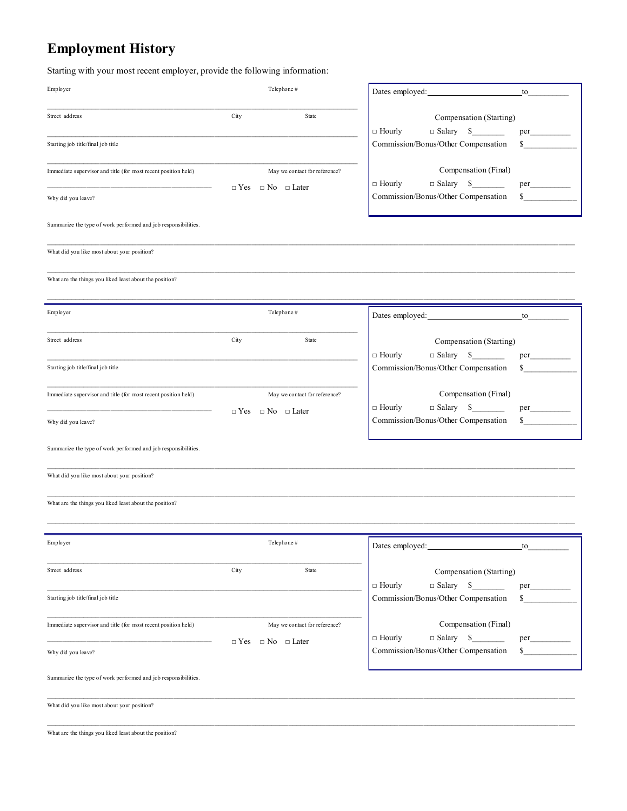# **Employment History**

Starting with your most recent employer, provide the following information:

| Employer                                                       |            | Telephone#                                                         | Dates employed:                                                                                        | to        |
|----------------------------------------------------------------|------------|--------------------------------------------------------------------|--------------------------------------------------------------------------------------------------------|-----------|
| Street address                                                 | City       | State                                                              | Compensation (Starting)                                                                                |           |
| Starting job title/final job title                             |            |                                                                    | $\Box$ Salary \$<br>$\Box$ Hourly<br>$\mathcal{L}^{\text{max}}$<br>Commission/Bonus/Other Compensation | \$        |
| Immediate supervisor and title (for most recent position held) |            | May we contact for reference?                                      | Compensation (Final)<br>$\Box$ Salary $\quad \quad \text{S}$<br>$\Box$ Hourly                          | per       |
| Why did you leave?                                             |            | $\Box$ Yes $\Box$ No $\Box$ Later                                  | Commission/Bonus/Other Compensation                                                                    | \$        |
| Summarize the type of work performed and job responsibilities. |            |                                                                    |                                                                                                        |           |
| What did you like most about your position?                    |            |                                                                    |                                                                                                        |           |
| What are the things you liked least about the position?        |            |                                                                    |                                                                                                        |           |
| Employer                                                       |            | Telephone#                                                         |                                                                                                        |           |
|                                                                |            |                                                                    | Dates employed:                                                                                        | to        |
| Street address                                                 | City       | State                                                              | Compensation (Starting)<br>$\Box$ Salary \$<br>$\Box$ Hourly                                           | per       |
| Starting job title/final job title                             |            |                                                                    | Commission/Bonus/Other Compensation                                                                    | \$        |
| Immediate supervisor and title (for most recent position held) |            | May we contact for reference?<br>$\Box$ Yes $\Box$ No $\Box$ Later | Compensation (Final)<br>$\Box$ Salary \$<br>$\Box$ Hourly                                              | per       |
| Why did you leave?                                             |            |                                                                    | Commission/Bonus/Other Compensation                                                                    | \$        |
| Summarize the type of work performed and job responsibilities. |            |                                                                    |                                                                                                        |           |
| What did you like most about your position?                    |            |                                                                    |                                                                                                        |           |
| What are the things you liked least about the position?        |            |                                                                    |                                                                                                        |           |
|                                                                |            |                                                                    |                                                                                                        |           |
| Employer                                                       |            | Telephone#                                                         | Dates employed:                                                                                        | to        |
| Street address                                                 | City       | State                                                              | Compensation (Starting)<br>$\Box$ Hourly                                                               |           |
| Starting job title/final job title                             |            |                                                                    | $\Box$ Salary<br>\$<br>Commission/Bonus/Other Compensation                                             | per<br>\$ |
| Immediate supervisor and title (for most recent position held) |            | May we contact for reference?                                      | Compensation (Final)                                                                                   |           |
| Why did you leave?                                             | $\Box$ Yes | $\Box$ No $\Box$ Later                                             | $\Box$ Salary<br>\$<br>$\Box$ Hourly<br>Commission/Bonus/Other Compensation                            | per<br>\$ |
| Summarize the type of work performed and job responsibilities. |            |                                                                    |                                                                                                        |           |
| What did you like most about your position?                    |            |                                                                    |                                                                                                        |           |
| What are the things you liked least about the position?        |            |                                                                    |                                                                                                        |           |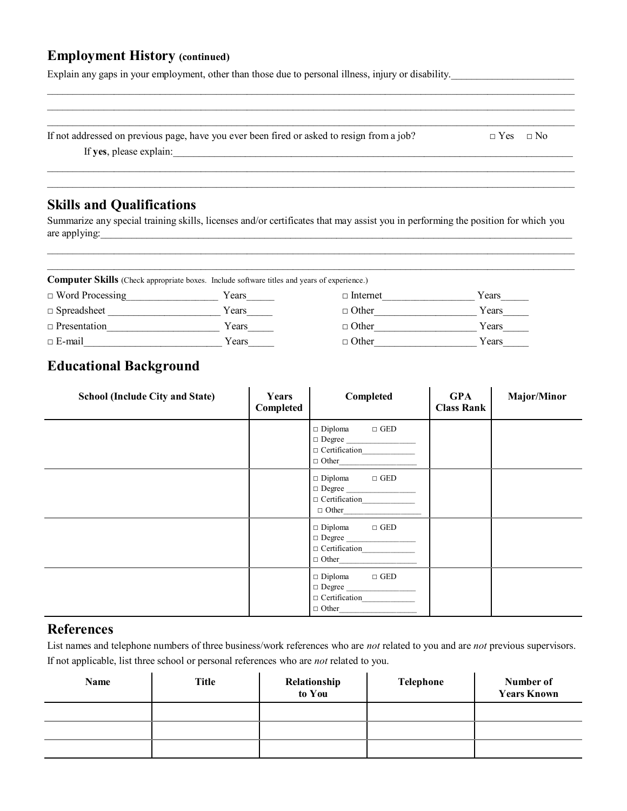# **Employment History (continued)**

Explain any gaps in your employment, other than those due to personal illness, injury or disability.

| If not addressed on previous page, have you ever been fired or asked to resign from a job? | $\Box$ Yes $\Box$ No |
|--------------------------------------------------------------------------------------------|----------------------|
| If yes, please explain:                                                                    |                      |

\_\_\_\_\_\_\_\_\_\_\_\_\_\_\_\_\_\_\_\_\_\_\_\_\_\_\_\_\_\_\_\_\_\_\_\_\_\_\_\_\_\_\_\_\_\_\_\_\_\_\_\_\_\_\_\_\_\_\_\_\_\_\_\_\_\_\_\_\_\_\_\_\_\_\_\_\_\_\_\_\_\_\_\_\_\_\_\_\_\_\_\_\_\_\_\_\_\_\_\_\_\_\_

\_\_\_\_\_\_\_\_\_\_\_\_\_\_\_\_\_\_\_\_\_\_\_\_\_\_\_\_\_\_\_\_\_\_\_\_\_\_\_\_\_\_\_\_\_\_\_\_\_\_\_\_\_\_\_\_\_\_\_\_\_\_\_\_\_\_\_\_\_\_\_\_\_\_\_\_\_\_\_\_\_\_\_\_\_\_\_\_\_\_\_\_\_\_\_\_\_\_\_\_\_\_\_ \_\_\_\_\_\_\_\_\_\_\_\_\_\_\_\_\_\_\_\_\_\_\_\_\_\_\_\_\_\_\_\_\_\_\_\_\_\_\_\_\_\_\_\_\_\_\_\_\_\_\_\_\_\_\_\_\_\_\_\_\_\_\_\_\_\_\_\_\_\_\_\_\_\_\_\_\_\_\_\_\_\_\_\_\_\_\_\_\_\_\_\_\_\_\_\_\_\_\_\_\_\_\_

### **Skills and Qualifications**

Summarize any special training skills, licenses and/or certificates that may assist you in performing the position for which you are applying:

\_\_\_\_\_\_\_\_\_\_\_\_\_\_\_\_\_\_\_\_\_\_\_\_\_\_\_\_\_\_\_\_\_\_\_\_\_\_\_\_\_\_\_\_\_\_\_\_\_\_\_\_\_\_\_\_\_\_\_\_\_\_\_\_\_\_\_\_\_\_\_\_\_\_\_\_\_\_\_\_\_\_\_\_\_\_\_\_\_\_\_\_\_\_\_\_\_\_\_\_\_\_\_ \_\_\_\_\_\_\_\_\_\_\_\_\_\_\_\_\_\_\_\_\_\_\_\_\_\_\_\_\_\_\_\_\_\_\_\_\_\_\_\_\_\_\_\_\_\_\_\_\_\_\_\_\_\_\_\_\_\_\_\_\_\_\_\_\_\_\_\_\_\_\_\_\_\_\_\_\_\_\_\_\_\_\_\_\_\_\_\_\_\_\_\_\_\_\_\_\_\_\_\_\_\_\_

**Computer Skills** (Check appropriate boxes. Include software titles and years of experience.)

| $\Box$ Word Processing | Years | $\Box$ Internet | Years |
|------------------------|-------|-----------------|-------|
| $\Box$ Spreadsheet     | Years | $\Box$ Other    | Years |
| $\Box$ Presentation    | Years | $\Box$ Other    | Years |
| $\Box$ E-mail          | Years | $\Box$ Other    | Years |

# **Educational Background**

| <b>School (Include City and State)</b> | Years<br>Completed | Completed                                                                             | <b>GPA</b><br><b>Class Rank</b> | Major/Minor |
|----------------------------------------|--------------------|---------------------------------------------------------------------------------------|---------------------------------|-------------|
|                                        |                    | $\Box$ GED<br>$\Box$ Diploma<br>$\Box$ Degree<br>$\Box$ Certification<br>$\Box$ Other |                                 |             |
|                                        |                    | $\Box$ Diploma $\Box$ GED<br>$\Box$ Degree<br>$\Box$ Certification<br>$\Box$ Other    |                                 |             |
|                                        |                    | $\Box$ Diploma $\Box$ GED<br>$\Box$ Degree<br>$\Box$ Certification<br>$\Box$ Other    |                                 |             |
|                                        |                    | $\Box$ Diploma $\Box$ GED<br>$\Box$ Degree<br>$\Box$ Other                            |                                 |             |

#### **References**

List names and telephone numbers of three business/work references who are *not* related to you and are *not* previous supervisors. If not applicable, list three school or personal references who are *not* related to you.

| Name | <b>Title</b> | Relationship<br>to You | Telephone | Number of<br><b>Years Known</b> |
|------|--------------|------------------------|-----------|---------------------------------|
|      |              |                        |           |                                 |
|      |              |                        |           |                                 |
|      |              |                        |           |                                 |